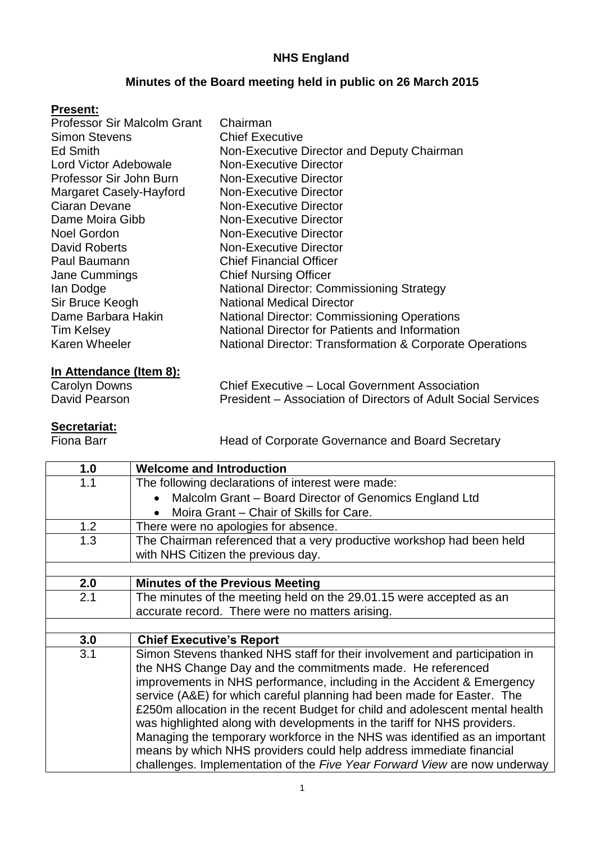## **NHS England**

## **Minutes of the Board meeting held in public on 26 March 2015**

#### **Present:**

| Professor Sir Malcolm Grant | Chairman                                                 |
|-----------------------------|----------------------------------------------------------|
| <b>Simon Stevens</b>        | <b>Chief Executive</b>                                   |
| <b>Ed Smith</b>             | Non-Executive Director and Deputy Chairman               |
| Lord Victor Adebowale       | <b>Non-Executive Director</b>                            |
| Professor Sir John Burn     | <b>Non-Executive Director</b>                            |
| Margaret Casely-Hayford     | <b>Non-Executive Director</b>                            |
| Ciaran Devane               | <b>Non-Executive Director</b>                            |
| Dame Moira Gibb             | <b>Non-Executive Director</b>                            |
| <b>Noel Gordon</b>          | <b>Non-Executive Director</b>                            |
| David Roberts               | <b>Non-Executive Director</b>                            |
| Paul Baumann                | <b>Chief Financial Officer</b>                           |
| Jane Cummings               | <b>Chief Nursing Officer</b>                             |
| lan Dodge                   | <b>National Director: Commissioning Strategy</b>         |
| Sir Bruce Keogh             | <b>National Medical Director</b>                         |
| Dame Barbara Hakin          | <b>National Director: Commissioning Operations</b>       |
| <b>Tim Kelsey</b>           | National Director for Patients and Information           |
| <b>Karen Wheeler</b>        | National Director: Transformation & Corporate Operations |
|                             |                                                          |

# **In Attendance (Item 8):**

Carolyn Downs<br>
Chief Executive – Local Government Association<br>
President – Association of Directors of Adult Socia President – Association of Directors of Adult Social Services

# **Secretariat:**<br>Fiona Barr

Head of Corporate Governance and Board Secretary

| 1.0 | <b>Welcome and Introduction</b>                                              |
|-----|------------------------------------------------------------------------------|
| 1.1 | The following declarations of interest were made:                            |
|     | Malcolm Grant - Board Director of Genomics England Ltd                       |
|     | Moira Grant - Chair of Skills for Care.                                      |
| 1.2 | There were no apologies for absence.                                         |
| 1.3 | The Chairman referenced that a very productive workshop had been held        |
|     | with NHS Citizen the previous day.                                           |
|     |                                                                              |
| 2.0 | <b>Minutes of the Previous Meeting</b>                                       |
| 2.1 | The minutes of the meeting held on the 29.01.15 were accepted as an          |
|     | accurate record. There were no matters arising.                              |
|     |                                                                              |
| 3.0 | <b>Chief Executive's Report</b>                                              |
| 3.1 | Simon Stevens thanked NHS staff for their involvement and participation in   |
|     | the NHS Change Day and the commitments made. He referenced                   |
|     | improvements in NHS performance, including in the Accident & Emergency       |
|     | service (A&E) for which careful planning had been made for Easter. The       |
|     | £250m allocation in the recent Budget for child and adolescent mental health |
|     | was highlighted along with developments in the tariff for NHS providers.     |
|     | Managing the temporary workforce in the NHS was identified as an important   |
|     | means by which NHS providers could help address immediate financial          |
|     | challenges. Implementation of the Five Year Forward View are now underway    |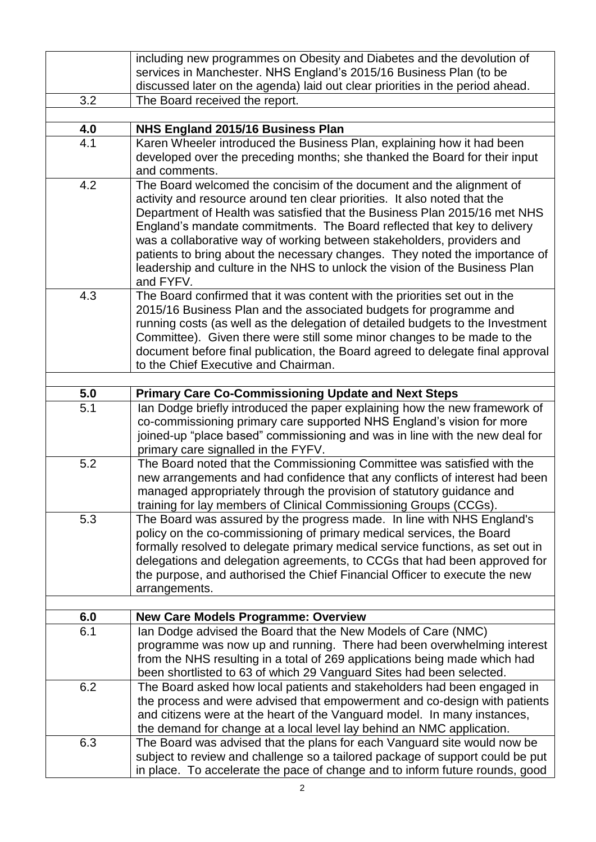|     | including new programmes on Obesity and Diabetes and the devolution of                                                                                    |  |
|-----|-----------------------------------------------------------------------------------------------------------------------------------------------------------|--|
|     | services in Manchester. NHS England's 2015/16 Business Plan (to be                                                                                        |  |
|     | discussed later on the agenda) laid out clear priorities in the period ahead.                                                                             |  |
| 3.2 | The Board received the report.                                                                                                                            |  |
|     |                                                                                                                                                           |  |
| 4.0 | NHS England 2015/16 Business Plan                                                                                                                         |  |
| 4.1 | Karen Wheeler introduced the Business Plan, explaining how it had been                                                                                    |  |
|     | developed over the preceding months; she thanked the Board for their input                                                                                |  |
|     | and comments.                                                                                                                                             |  |
| 4.2 | The Board welcomed the concisim of the document and the alignment of                                                                                      |  |
|     | activity and resource around ten clear priorities. It also noted that the                                                                                 |  |
|     | Department of Health was satisfied that the Business Plan 2015/16 met NHS                                                                                 |  |
|     | England's mandate commitments. The Board reflected that key to delivery                                                                                   |  |
|     | was a collaborative way of working between stakeholders, providers and                                                                                    |  |
|     | patients to bring about the necessary changes. They noted the importance of                                                                               |  |
|     | leadership and culture in the NHS to unlock the vision of the Business Plan                                                                               |  |
|     | and FYFV.                                                                                                                                                 |  |
| 4.3 | The Board confirmed that it was content with the priorities set out in the                                                                                |  |
|     | 2015/16 Business Plan and the associated budgets for programme and                                                                                        |  |
|     | running costs (as well as the delegation of detailed budgets to the Investment<br>Committee). Given there were still some minor changes to be made to the |  |
|     | document before final publication, the Board agreed to delegate final approval                                                                            |  |
|     | to the Chief Executive and Chairman.                                                                                                                      |  |
|     |                                                                                                                                                           |  |
| 5.0 | <b>Primary Care Co-Commissioning Update and Next Steps</b>                                                                                                |  |
| 5.1 | Ian Dodge briefly introduced the paper explaining how the new framework of                                                                                |  |
|     | co-commissioning primary care supported NHS England's vision for more                                                                                     |  |
|     | joined-up "place based" commissioning and was in line with the new deal for                                                                               |  |
|     | primary care signalled in the FYFV.                                                                                                                       |  |
| 5.2 | The Board noted that the Commissioning Committee was satisfied with the                                                                                   |  |
|     | new arrangements and had confidence that any conflicts of interest had been                                                                               |  |
|     | managed appropriately through the provision of statutory guidance and                                                                                     |  |
|     | training for lay members of Clinical Commissioning Groups (CCGs).                                                                                         |  |
| 5.3 | The Board was assured by the progress made. In line with NHS England's                                                                                    |  |
|     | policy on the co-commissioning of primary medical services, the Board                                                                                     |  |
|     | formally resolved to delegate primary medical service functions, as set out in                                                                            |  |
|     | delegations and delegation agreements, to CCGs that had been approved for                                                                                 |  |
|     | the purpose, and authorised the Chief Financial Officer to execute the new                                                                                |  |
|     | arrangements.                                                                                                                                             |  |
| 6.0 |                                                                                                                                                           |  |
| 6.1 | <b>New Care Models Programme: Overview</b><br>Ian Dodge advised the Board that the New Models of Care (NMC)                                               |  |
|     | programme was now up and running. There had been overwhelming interest                                                                                    |  |
|     | from the NHS resulting in a total of 269 applications being made which had                                                                                |  |
|     | been shortlisted to 63 of which 29 Vanguard Sites had been selected.                                                                                      |  |
| 6.2 | The Board asked how local patients and stakeholders had been engaged in                                                                                   |  |
|     | the process and were advised that empowerment and co-design with patients                                                                                 |  |
|     | and citizens were at the heart of the Vanguard model. In many instances,                                                                                  |  |
|     | the demand for change at a local level lay behind an NMC application.                                                                                     |  |
| 6.3 | The Board was advised that the plans for each Vanguard site would now be                                                                                  |  |
|     | subject to review and challenge so a tailored package of support could be put                                                                             |  |
|     | in place. To accelerate the pace of change and to inform future rounds, good                                                                              |  |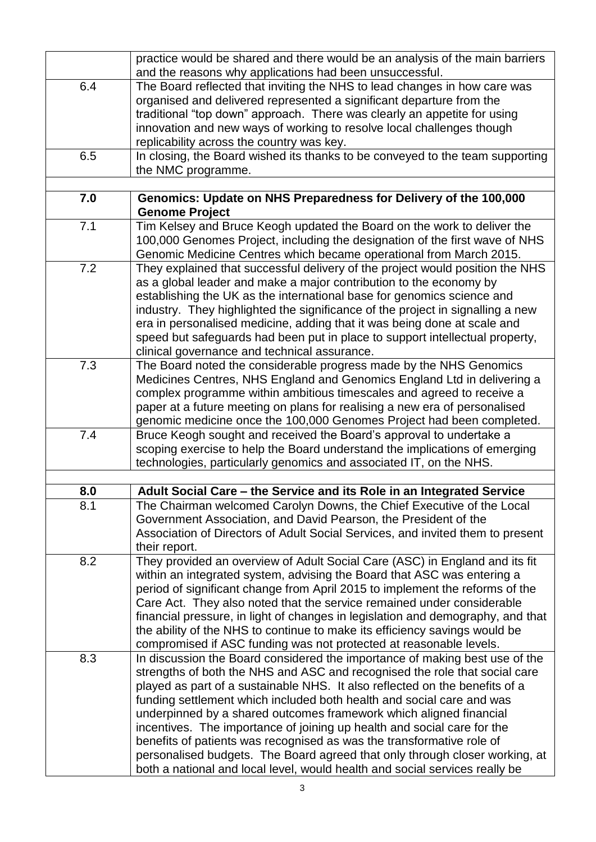|     | practice would be shared and there would be an analysis of the main barriers                                                                               |
|-----|------------------------------------------------------------------------------------------------------------------------------------------------------------|
|     | and the reasons why applications had been unsuccessful.                                                                                                    |
| 6.4 | The Board reflected that inviting the NHS to lead changes in how care was                                                                                  |
|     | organised and delivered represented a significant departure from the                                                                                       |
|     | traditional "top down" approach. There was clearly an appetite for using                                                                                   |
|     | innovation and new ways of working to resolve local challenges though                                                                                      |
|     | replicability across the country was key.                                                                                                                  |
| 6.5 | In closing, the Board wished its thanks to be conveyed to the team supporting                                                                              |
|     | the NMC programme.                                                                                                                                         |
|     |                                                                                                                                                            |
| 7.0 | Genomics: Update on NHS Preparedness for Delivery of the 100,000                                                                                           |
|     | <b>Genome Project</b>                                                                                                                                      |
| 7.1 | Tim Kelsey and Bruce Keogh updated the Board on the work to deliver the                                                                                    |
|     | 100,000 Genomes Project, including the designation of the first wave of NHS                                                                                |
|     | Genomic Medicine Centres which became operational from March 2015.                                                                                         |
| 7.2 | They explained that successful delivery of the project would position the NHS                                                                              |
|     | as a global leader and make a major contribution to the economy by                                                                                         |
|     | establishing the UK as the international base for genomics science and                                                                                     |
|     | industry. They highlighted the significance of the project in signalling a new                                                                             |
|     | era in personalised medicine, adding that it was being done at scale and                                                                                   |
|     | speed but safeguards had been put in place to support intellectual property,                                                                               |
|     | clinical governance and technical assurance.                                                                                                               |
| 7.3 | The Board noted the considerable progress made by the NHS Genomics                                                                                         |
|     | Medicines Centres, NHS England and Genomics England Ltd in delivering a                                                                                    |
|     | complex programme within ambitious timescales and agreed to receive a                                                                                      |
|     | paper at a future meeting on plans for realising a new era of personalised                                                                                 |
|     | genomic medicine once the 100,000 Genomes Project had been completed.                                                                                      |
| 7.4 | Bruce Keogh sought and received the Board's approval to undertake a                                                                                        |
|     | scoping exercise to help the Board understand the implications of emerging                                                                                 |
|     | technologies, particularly genomics and associated IT, on the NHS.                                                                                         |
|     |                                                                                                                                                            |
| 8.0 | Adult Social Care - the Service and its Role in an Integrated Service                                                                                      |
| 8.1 | The Chairman welcomed Carolyn Downs, the Chief Executive of the Local                                                                                      |
|     | Government Association, and David Pearson, the President of the                                                                                            |
|     | Association of Directors of Adult Social Services, and invited them to present                                                                             |
|     | their report.                                                                                                                                              |
| 8.2 | They provided an overview of Adult Social Care (ASC) in England and its fit                                                                                |
|     | within an integrated system, advising the Board that ASC was entering a                                                                                    |
|     | period of significant change from April 2015 to implement the reforms of the                                                                               |
|     | Care Act. They also noted that the service remained under considerable                                                                                     |
|     | financial pressure, in light of changes in legislation and demography, and that                                                                            |
|     | the ability of the NHS to continue to make its efficiency savings would be                                                                                 |
|     | compromised if ASC funding was not protected at reasonable levels.                                                                                         |
| 8.3 | In discussion the Board considered the importance of making best use of the                                                                                |
|     | strengths of both the NHS and ASC and recognised the role that social care                                                                                 |
|     | played as part of a sustainable NHS. It also reflected on the benefits of a                                                                                |
|     | funding settlement which included both health and social care and was                                                                                      |
|     | underpinned by a shared outcomes framework which aligned financial                                                                                         |
|     | incentives. The importance of joining up health and social care for the                                                                                    |
|     | benefits of patients was recognised as was the transformative role of                                                                                      |
|     |                                                                                                                                                            |
|     |                                                                                                                                                            |
|     | personalised budgets. The Board agreed that only through closer working, at<br>both a national and local level, would health and social services really be |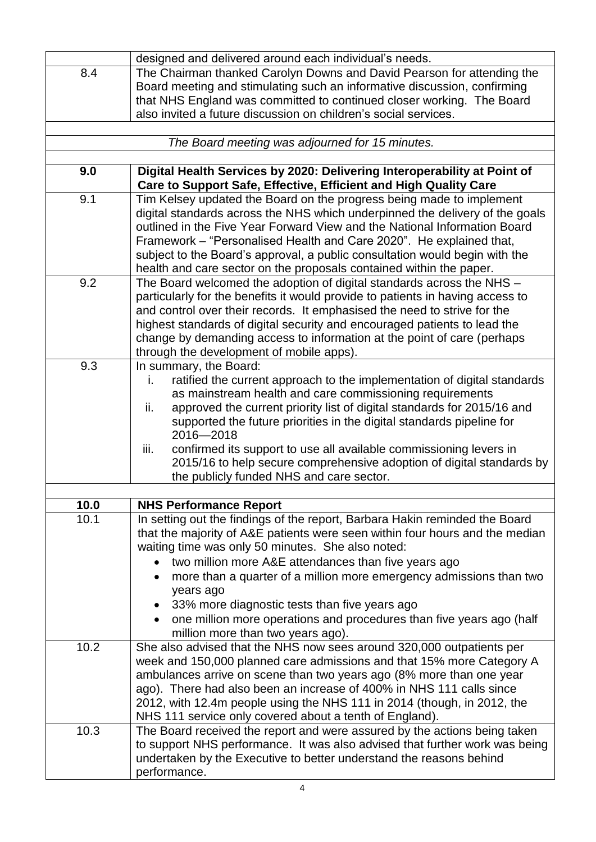|      | designed and delivered around each individual's needs.                             |  |
|------|------------------------------------------------------------------------------------|--|
| 8.4  | The Chairman thanked Carolyn Downs and David Pearson for attending the             |  |
|      | Board meeting and stimulating such an informative discussion, confirming           |  |
|      | that NHS England was committed to continued closer working. The Board              |  |
|      | also invited a future discussion on children's social services.                    |  |
|      |                                                                                    |  |
|      | The Board meeting was adjourned for 15 minutes.                                    |  |
|      |                                                                                    |  |
| 9.0  | Digital Health Services by 2020: Delivering Interoperability at Point of           |  |
|      | Care to Support Safe, Effective, Efficient and High Quality Care                   |  |
| 9.1  | Tim Kelsey updated the Board on the progress being made to implement               |  |
|      | digital standards across the NHS which underpinned the delivery of the goals       |  |
|      | outlined in the Five Year Forward View and the National Information Board          |  |
|      | Framework - "Personalised Health and Care 2020". He explained that,                |  |
|      | subject to the Board's approval, a public consultation would begin with the        |  |
|      | health and care sector on the proposals contained within the paper.                |  |
| 9.2  | The Board welcomed the adoption of digital standards across the NHS -              |  |
|      | particularly for the benefits it would provide to patients in having access to     |  |
|      | and control over their records. It emphasised the need to strive for the           |  |
|      | highest standards of digital security and encouraged patients to lead the          |  |
|      | change by demanding access to information at the point of care (perhaps            |  |
|      | through the development of mobile apps).                                           |  |
| 9.3  | In summary, the Board:                                                             |  |
|      | ratified the current approach to the implementation of digital standards<br>i.     |  |
|      | as mainstream health and care commissioning requirements                           |  |
|      | approved the current priority list of digital standards for 2015/16 and<br>ii.     |  |
|      | supported the future priorities in the digital standards pipeline for<br>2016-2018 |  |
|      | confirmed its support to use all available commissioning levers in<br>iii.         |  |
|      | 2015/16 to help secure comprehensive adoption of digital standards by              |  |
|      | the publicly funded NHS and care sector.                                           |  |
|      |                                                                                    |  |
| 10.0 | <b>NHS Performance Report</b>                                                      |  |
| 10.1 | In setting out the findings of the report, Barbara Hakin reminded the Board        |  |
|      | that the majority of A&E patients were seen within four hours and the median       |  |
|      | waiting time was only 50 minutes. She also noted:                                  |  |
|      | two million more A&E attendances than five years ago                               |  |
|      | more than a quarter of a million more emergency admissions than two                |  |
|      | years ago                                                                          |  |
|      | 33% more diagnostic tests than five years ago                                      |  |
|      | one million more operations and procedures than five years ago (half               |  |
|      | million more than two years ago).                                                  |  |
| 10.2 | She also advised that the NHS now sees around 320,000 outpatients per              |  |
|      | week and 150,000 planned care admissions and that 15% more Category A              |  |
|      | ambulances arrive on scene than two years ago (8% more than one year               |  |
|      | ago). There had also been an increase of 400% in NHS 111 calls since               |  |
|      | 2012, with 12.4m people using the NHS 111 in 2014 (though, in 2012, the            |  |
|      | NHS 111 service only covered about a tenth of England).                            |  |
| 10.3 | The Board received the report and were assured by the actions being taken          |  |
|      | to support NHS performance. It was also advised that further work was being        |  |
|      | undertaken by the Executive to better understand the reasons behind                |  |
|      | performance.                                                                       |  |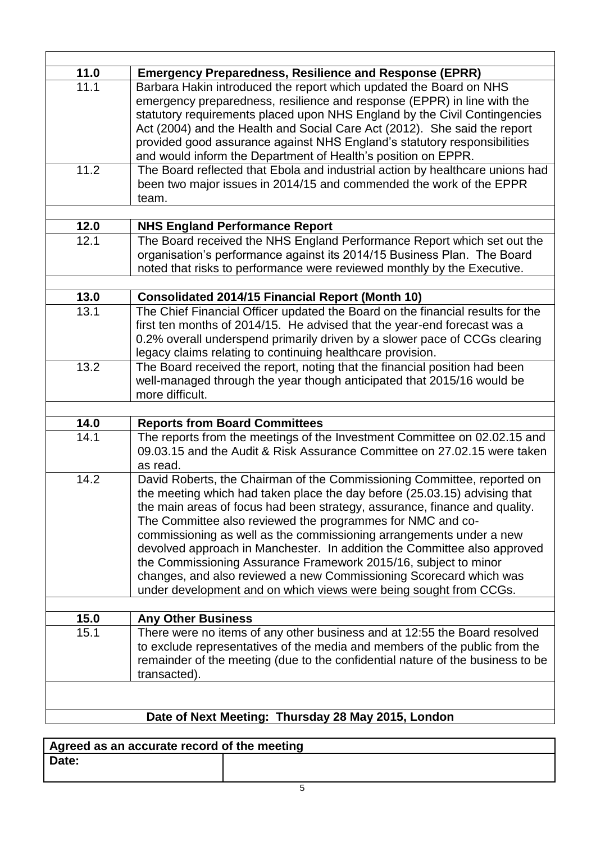| 11.0 | <b>Emergency Preparedness, Resilience and Response (EPRR)</b>                  |  |
|------|--------------------------------------------------------------------------------|--|
| 11.1 | Barbara Hakin introduced the report which updated the Board on NHS             |  |
|      | emergency preparedness, resilience and response (EPPR) in line with the        |  |
|      | statutory requirements placed upon NHS England by the Civil Contingencies      |  |
|      | Act (2004) and the Health and Social Care Act (2012). She said the report      |  |
|      | provided good assurance against NHS England's statutory responsibilities       |  |
|      | and would inform the Department of Health's position on EPPR.                  |  |
| 11.2 | The Board reflected that Ebola and industrial action by healthcare unions had  |  |
|      | been two major issues in 2014/15 and commended the work of the EPPR            |  |
|      | team.                                                                          |  |
|      |                                                                                |  |
| 12.0 | <b>NHS England Performance Report</b>                                          |  |
| 12.1 | The Board received the NHS England Performance Report which set out the        |  |
|      | organisation's performance against its 2014/15 Business Plan. The Board        |  |
|      | noted that risks to performance were reviewed monthly by the Executive.        |  |
|      |                                                                                |  |
| 13.0 | <b>Consolidated 2014/15 Financial Report (Month 10)</b>                        |  |
| 13.1 | The Chief Financial Officer updated the Board on the financial results for the |  |
|      | first ten months of 2014/15. He advised that the year-end forecast was a       |  |
|      | 0.2% overall underspend primarily driven by a slower pace of CCGs clearing     |  |
|      | legacy claims relating to continuing healthcare provision.                     |  |
| 13.2 | The Board received the report, noting that the financial position had been     |  |
|      | well-managed through the year though anticipated that 2015/16 would be         |  |
|      | more difficult.                                                                |  |
|      |                                                                                |  |
| 14.0 | <b>Reports from Board Committees</b>                                           |  |
| 14.1 | The reports from the meetings of the Investment Committee on 02.02.15 and      |  |
|      | 09.03.15 and the Audit & Risk Assurance Committee on 27.02.15 were taken       |  |
|      | as read.                                                                       |  |
|      |                                                                                |  |
| 14.2 | David Roberts, the Chairman of the Commissioning Committee, reported on        |  |
|      | the meeting which had taken place the day before (25.03.15) advising that      |  |
|      | the main areas of focus had been strategy, assurance, finance and quality.     |  |
|      | The Committee also reviewed the programmes for NMC and co-                     |  |
|      | commissioning as well as the commissioning arrangements under a new            |  |
|      | devolved approach in Manchester. In addition the Committee also approved       |  |
|      | the Commissioning Assurance Framework 2015/16, subject to minor                |  |
|      | changes, and also reviewed a new Commissioning Scorecard which was             |  |
|      | under development and on which views were being sought from CCGs.              |  |
|      |                                                                                |  |
| 15.0 | <b>Any Other Business</b>                                                      |  |
| 15.1 | There were no items of any other business and at 12:55 the Board resolved      |  |
|      | to exclude representatives of the media and members of the public from the     |  |
|      | remainder of the meeting (due to the confidential nature of the business to be |  |
|      | transacted).                                                                   |  |
|      |                                                                                |  |
|      |                                                                                |  |
|      | Date of Next Meeting: Thursday 28 May 2015, London                             |  |
|      |                                                                                |  |

| Agreed as an accurate record of the meeting |  |
|---------------------------------------------|--|
| Date:                                       |  |
|                                             |  |